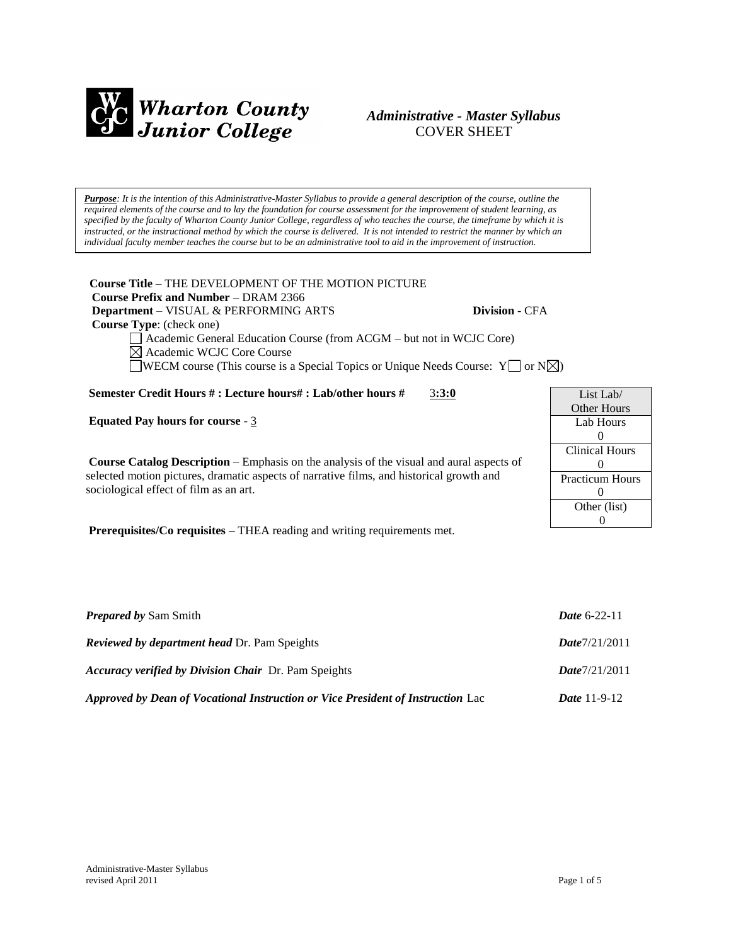

### *Administrative - Master Syllabus*  COVER SHEET

*Purpose: It is the intention of this Administrative-Master Syllabus to provide a general description of the course, outline the required elements of the course and to lay the foundation for course assessment for the improvement of student learning, as specified by the faculty of Wharton County Junior College, regardless of who teaches the course, the timeframe by which it is instructed, or the instructional method by which the course is delivered. It is not intended to restrict the manner by which an individual faculty member teaches the course but to be an administrative tool to aid in the improvement of instruction.*

**Course Title** – THE DEVELOPMENT OF THE MOTION PICTURE  **Course Prefix and Number** – DRAM 2366  **Department** – VISUAL & PERFORMING ARTS **Division** - CFA

 **Course Type**: (check one)

Academic General Education Course (from ACGM – but not in WCJC Core) Academic WCJC Core Course

WECM course (This course is a Special Topics or Unique Needs Course:  $Y \cap N \times$ )

**Semester Credit Hours # : Lecture hours# : Lab/other hours #** 3**:3:0**

**Equated Pay hours for course** - 3

**Course Catalog Description** – Emphasis on the analysis of the visual and aural aspects of selected motion pictures, dramatic aspects of narrative films, and historical growth and sociological effect of film as an art.

**Prerequisites/Co requisites** – THEA reading and writing requirements met.

| List Lab $/$           |  |  |
|------------------------|--|--|
| Other Hours            |  |  |
| Lab Hours              |  |  |
| $\mathbf{0}$           |  |  |
| <b>Clinical Hours</b>  |  |  |
| $\mathbf{0}$           |  |  |
| <b>Practicum Hours</b> |  |  |
| 0                      |  |  |
| Other (list)           |  |  |
|                        |  |  |

| <b>Prepared by Sam Smith</b>                                                    | <b>Date 6-22-11</b>   |
|---------------------------------------------------------------------------------|-----------------------|
| <b>Reviewed by department head Dr. Pam Speights</b>                             | Date7/21/2011         |
| <i>Accuracy verified by Division Chair Dr. Pam Speights</i>                     | Date7/21/2011         |
| Approved by Dean of Vocational Instruction or Vice President of Instruction Lac | <i>Date</i> $11-9-12$ |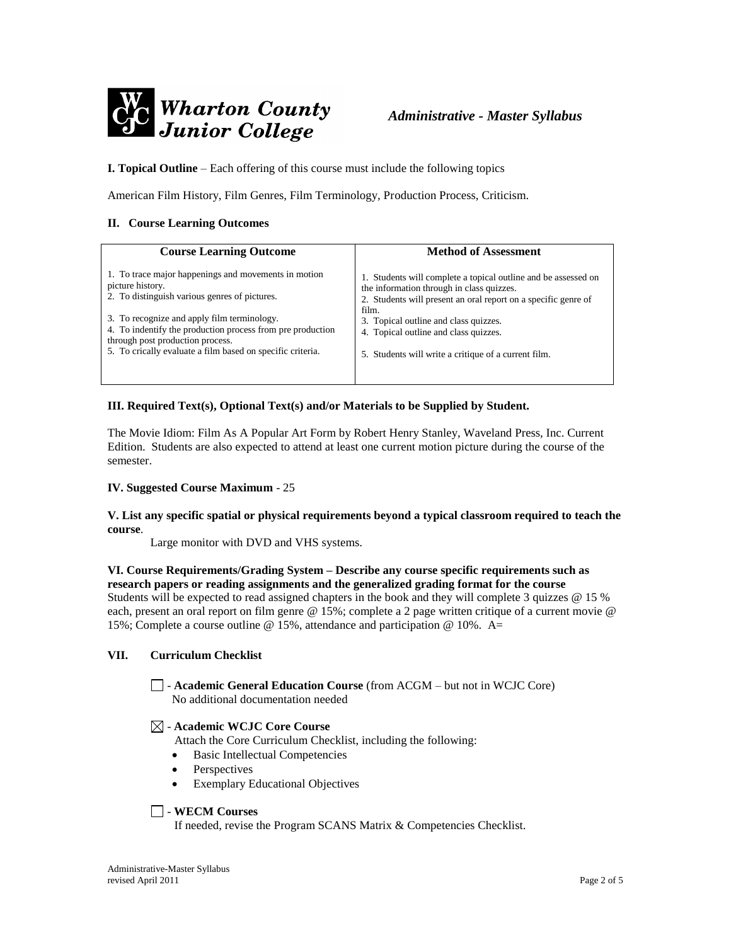

**I. Topical Outline** – Each offering of this course must include the following topics

American Film History, Film Genres, Film Terminology, Production Process, Criticism.

#### **II. Course Learning Outcomes**

| <b>Course Learning Outcome</b>                                                                                                                                                                              | <b>Method of Assessment</b>                                                                                                                                                            |
|-------------------------------------------------------------------------------------------------------------------------------------------------------------------------------------------------------------|----------------------------------------------------------------------------------------------------------------------------------------------------------------------------------------|
| 1. To trace major happenings and movements in motion<br>picture history.<br>2. To distinguish various genres of pictures.                                                                                   | 1. Students will complete a topical outline and be assessed on<br>the information through in class quizzes.<br>2. Students will present an oral report on a specific genre of<br>film. |
| 3. To recognize and apply film terminology.<br>4. To indentify the production process from pre production<br>through post production process.<br>5. To crically evaluate a film based on specific criteria. | 3. Topical outline and class quizzes.<br>4. Topical outline and class quizzes.<br>5. Students will write a critique of a current film.                                                 |

#### **III. Required Text(s), Optional Text(s) and/or Materials to be Supplied by Student.**

The Movie Idiom: Film As A Popular Art Form by Robert Henry Stanley, Waveland Press, Inc. Current Edition. Students are also expected to attend at least one current motion picture during the course of the semester.

#### **IV. Suggested Course Maximum** - 25

**V. List any specific spatial or physical requirements beyond a typical classroom required to teach the course**.

Large monitor with DVD and VHS systems.

#### **VI. Course Requirements/Grading System – Describe any course specific requirements such as research papers or reading assignments and the generalized grading format for the course**

Students will be expected to read assigned chapters in the book and they will complete 3 quizzes @ 15 % each, present an oral report on film genre @ 15%; complete a 2 page written critique of a current movie @ 15%; Complete a course outline @ 15%, attendance and participation @ 10%. A=

#### **VII. Curriculum Checklist**

- **Academic General Education Course** (from ACGM – but not in WCJC Core) No additional documentation needed

#### - **Academic WCJC Core Course**

Attach the Core Curriculum Checklist, including the following:

- Basic Intellectual Competencies
- Perspectives
- Exemplary Educational Objectives

#### - **WECM Courses**

If needed, revise the Program SCANS Matrix & Competencies Checklist.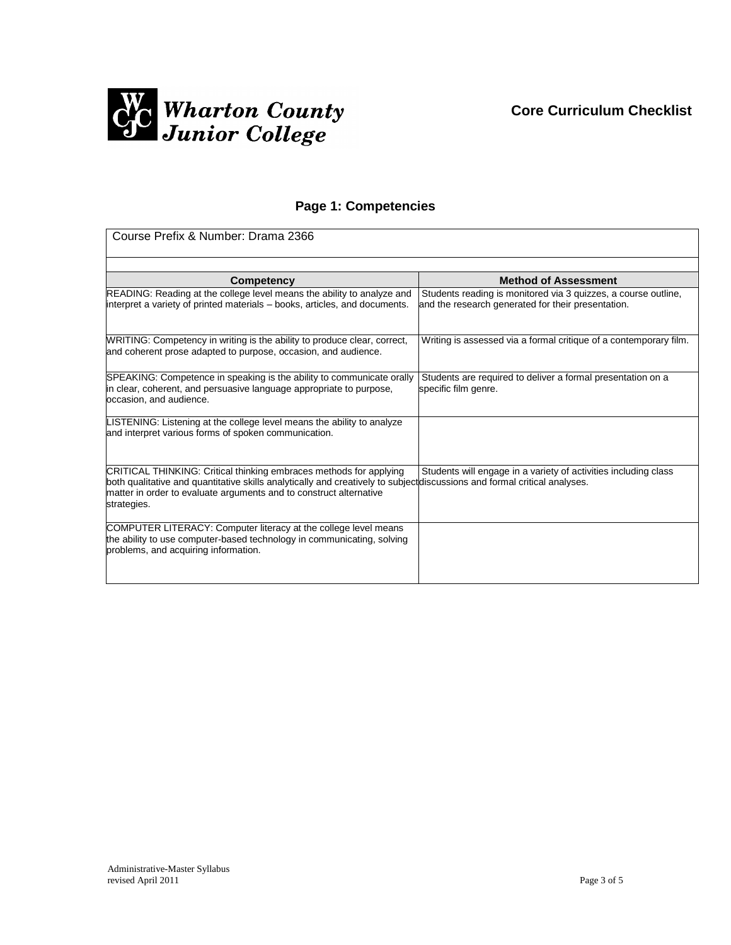

## **Page 1: Competencies**

| Course Prefix & Number: Drama 2366                                                                                                                                                                                                                                                   |                                                                                                                      |  |
|--------------------------------------------------------------------------------------------------------------------------------------------------------------------------------------------------------------------------------------------------------------------------------------|----------------------------------------------------------------------------------------------------------------------|--|
|                                                                                                                                                                                                                                                                                      |                                                                                                                      |  |
| Competency                                                                                                                                                                                                                                                                           | <b>Method of Assessment</b>                                                                                          |  |
| READING: Reading at the college level means the ability to analyze and<br>interpret a variety of printed materials – books, articles, and documents.                                                                                                                                 | Students reading is monitored via 3 quizzes, a course outline,<br>and the research generated for their presentation. |  |
| WRITING: Competency in writing is the ability to produce clear, correct,<br>and coherent prose adapted to purpose, occasion, and audience.                                                                                                                                           | Writing is assessed via a formal critique of a contemporary film.                                                    |  |
| SPEAKING: Competence in speaking is the ability to communicate orally<br>in clear, coherent, and persuasive language appropriate to purpose,<br>occasion, and audience.                                                                                                              | Students are required to deliver a formal presentation on a<br>specific film genre.                                  |  |
| LISTENING: Listening at the college level means the ability to analyze<br>and interpret various forms of spoken communication.                                                                                                                                                       |                                                                                                                      |  |
| CRITICAL THINKING: Critical thinking embraces methods for applying<br>both qualitative and quantitative skills analytically and creatively to subject discussions and formal critical analyses.<br>matter in order to evaluate arguments and to construct alternative<br>strategies. | Students will engage in a variety of activities including class                                                      |  |
| COMPUTER LITERACY: Computer literacy at the college level means<br>the ability to use computer-based technology in communicating, solving<br>problems, and acquiring information.                                                                                                    |                                                                                                                      |  |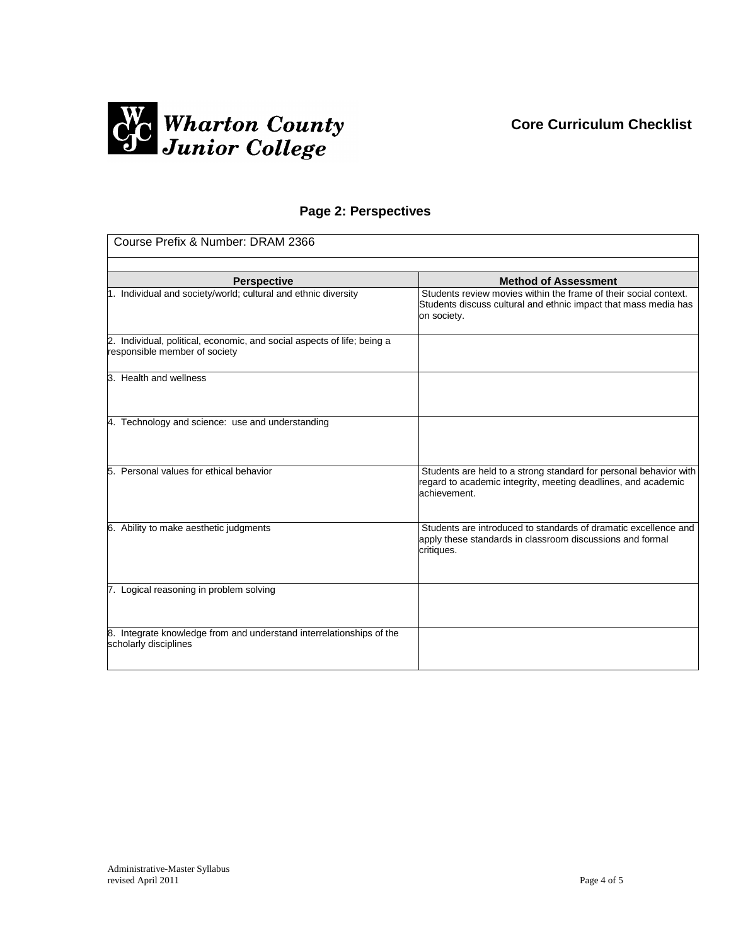## **Core Curriculum Checklist**



### **Page 2: Perspectives**

| Course Prefix & Number: DRAM 2366                                                                        |                                                                                                                                                    |  |
|----------------------------------------------------------------------------------------------------------|----------------------------------------------------------------------------------------------------------------------------------------------------|--|
|                                                                                                          |                                                                                                                                                    |  |
| <b>Perspective</b>                                                                                       | <b>Method of Assessment</b>                                                                                                                        |  |
| 1. Individual and society/world; cultural and ethnic diversity                                           | Students review movies within the frame of their social context.<br>Students discuss cultural and ethnic impact that mass media has<br>on society. |  |
| 2. Individual, political, economic, and social aspects of life; being a<br>responsible member of society |                                                                                                                                                    |  |
| 3. Health and wellness                                                                                   |                                                                                                                                                    |  |
| 4. Technology and science: use and understanding                                                         |                                                                                                                                                    |  |
| 5. Personal values for ethical behavior                                                                  | Students are held to a strong standard for personal behavior with<br>regard to academic integrity, meeting deadlines, and academic<br>achievement. |  |
| 6. Ability to make aesthetic judgments                                                                   | Students are introduced to standards of dramatic excellence and<br>apply these standards in classroom discussions and formal<br>critiques.         |  |
| 7. Logical reasoning in problem solving                                                                  |                                                                                                                                                    |  |
| 8. Integrate knowledge from and understand interrelationships of the<br>scholarly disciplines            |                                                                                                                                                    |  |